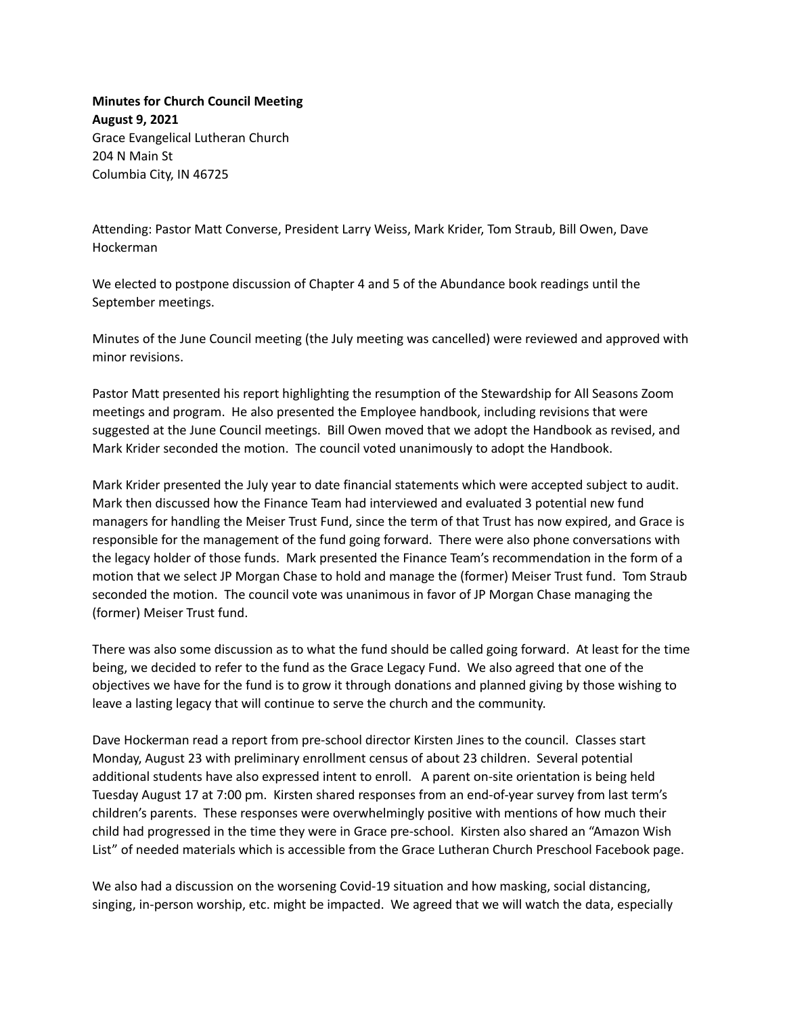**Minutes for Church Council Meeting August 9, 2021** Grace Evangelical Lutheran Church 204 N Main St Columbia City, IN 46725

Attending: Pastor Matt Converse, President Larry Weiss, Mark Krider, Tom Straub, Bill Owen, Dave Hockerman

We elected to postpone discussion of Chapter 4 and 5 of the Abundance book readings until the September meetings.

Minutes of the June Council meeting (the July meeting was cancelled) were reviewed and approved with minor revisions.

Pastor Matt presented his report highlighting the resumption of the Stewardship for All Seasons Zoom meetings and program. He also presented the Employee handbook, including revisions that were suggested at the June Council meetings. Bill Owen moved that we adopt the Handbook as revised, and Mark Krider seconded the motion. The council voted unanimously to adopt the Handbook.

Mark Krider presented the July year to date financial statements which were accepted subject to audit. Mark then discussed how the Finance Team had interviewed and evaluated 3 potential new fund managers for handling the Meiser Trust Fund, since the term of that Trust has now expired, and Grace is responsible for the management of the fund going forward. There were also phone conversations with the legacy holder of those funds. Mark presented the Finance Team's recommendation in the form of a motion that we select JP Morgan Chase to hold and manage the (former) Meiser Trust fund. Tom Straub seconded the motion. The council vote was unanimous in favor of JP Morgan Chase managing the (former) Meiser Trust fund.

There was also some discussion as to what the fund should be called going forward. At least for the time being, we decided to refer to the fund as the Grace Legacy Fund. We also agreed that one of the objectives we have for the fund is to grow it through donations and planned giving by those wishing to leave a lasting legacy that will continue to serve the church and the community.

Dave Hockerman read a report from pre-school director Kirsten Jines to the council. Classes start Monday, August 23 with preliminary enrollment census of about 23 children. Several potential additional students have also expressed intent to enroll. A parent on-site orientation is being held Tuesday August 17 at 7:00 pm. Kirsten shared responses from an end-of-year survey from last term's children's parents. These responses were overwhelmingly positive with mentions of how much their child had progressed in the time they were in Grace pre-school. Kirsten also shared an "Amazon Wish List" of needed materials which is accessible from the Grace Lutheran Church Preschool Facebook page.

We also had a discussion on the worsening Covid-19 situation and how masking, social distancing, singing, in-person worship, etc. might be impacted. We agreed that we will watch the data, especially